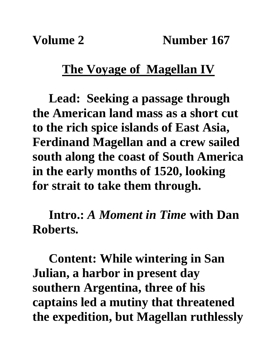**Volume 2** Number 167

## **The Voyage of Magellan IV**

**Lead: Seeking a passage through the American land mass as a short cut to the rich spice islands of East Asia, Ferdinand Magellan and a crew sailed south along the coast of South America in the early months of 1520, looking for strait to take them through.**

**Intro.:** *A Moment in Time* **with Dan Roberts.**

**Content: While wintering in San Julian, a harbor in present day southern Argentina, three of his captains led a mutiny that threatened the expedition, but Magellan ruthlessly**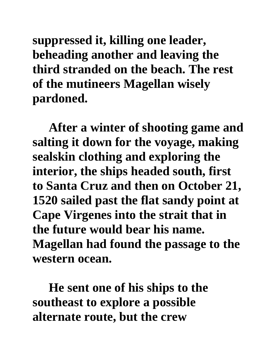**suppressed it, killing one leader, beheading another and leaving the third stranded on the beach. The rest of the mutineers Magellan wisely pardoned.** 

**After a winter of shooting game and salting it down for the voyage, making sealskin clothing and exploring the interior, the ships headed south, first to Santa Cruz and then on October 21, 1520 sailed past the flat sandy point at Cape Virgenes into the strait that in the future would bear his name. Magellan had found the passage to the western ocean.** 

**He sent one of his ships to the southeast to explore a possible alternate route, but the crew**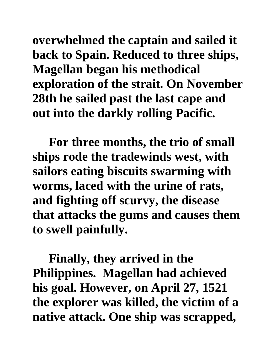**overwhelmed the captain and sailed it back to Spain. Reduced to three ships, Magellan began his methodical exploration of the strait. On November 28th he sailed past the last cape and out into the darkly rolling Pacific.**

**For three months, the trio of small ships rode the tradewinds west, with sailors eating biscuits swarming with worms, laced with the urine of rats, and fighting off scurvy, the disease that attacks the gums and causes them to swell painfully.**

**Finally, they arrived in the Philippines. Magellan had achieved his goal. However, on April 27, 1521 the explorer was killed, the victim of a native attack. One ship was scrapped,**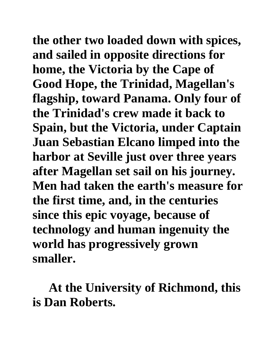**the other two loaded down with spices, and sailed in opposite directions for home, the Victoria by the Cape of Good Hope, the Trinidad, Magellan's flagship, toward Panama. Only four of the Trinidad's crew made it back to Spain, but the Victoria, under Captain Juan Sebastian Elcano limped into the harbor at Seville just over three years after Magellan set sail on his journey. Men had taken the earth's measure for the first time, and, in the centuries since this epic voyage, because of technology and human ingenuity the world has progressively grown smaller.**

**At the University of Richmond, this is Dan Roberts.**